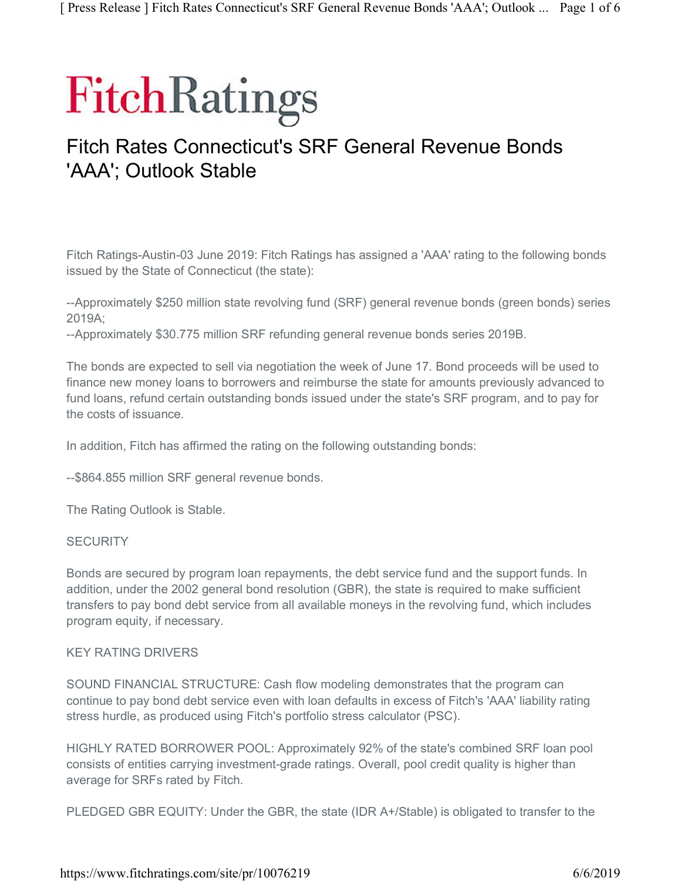# **FitchRatings**

## Fitch Rates Connecticut's SRF General Revenue Bonds 'AAA'; Outlook Stable

Fitch Ratings-Austin-03 June 2019: Fitch Ratings has assigned a 'AAA' rating to the following bonds issued by the State of Connecticut (the state):

--Approximately \$250 million state revolving fund (SRF) general revenue bonds (green bonds) series 2019A;

--Approximately \$30.775 million SRF refunding general revenue bonds series 2019B.

The bonds are expected to sell via negotiation the week of June 17. Bond proceeds will be used to finance new money loans to borrowers and reimburse the state for amounts previously advanced to fund loans, refund certain outstanding bonds issued under the state's SRF program, and to pay for the costs of issuance.

In addition, Fitch has affirmed the rating on the following outstanding bonds:

--\$864.855 million SRF general revenue bonds.

The Rating Outlook is Stable.

#### **SECURITY**

Bonds are secured by program loan repayments, the debt service fund and the support funds. In addition, under the 2002 general bond resolution (GBR), the state is required to make sufficient transfers to pay bond debt service from all available moneys in the revolving fund, which includes program equity, if necessary.

#### KEY RATING DRIVERS

SOUND FINANCIAL STRUCTURE: Cash flow modeling demonstrates that the program can continue to pay bond debt service even with loan defaults in excess of Fitch's 'AAA' liability rating stress hurdle, as produced using Fitch's portfolio stress calculator (PSC).

HIGHLY RATED BORROWER POOL: Approximately 92% of the state's combined SRF loan pool consists of entities carrying investment-grade ratings. Overall, pool credit quality is higher than average for SRFs rated by Fitch.

PLEDGED GBR EQUITY: Under the GBR, the state (IDR A+/Stable) is obligated to transfer to the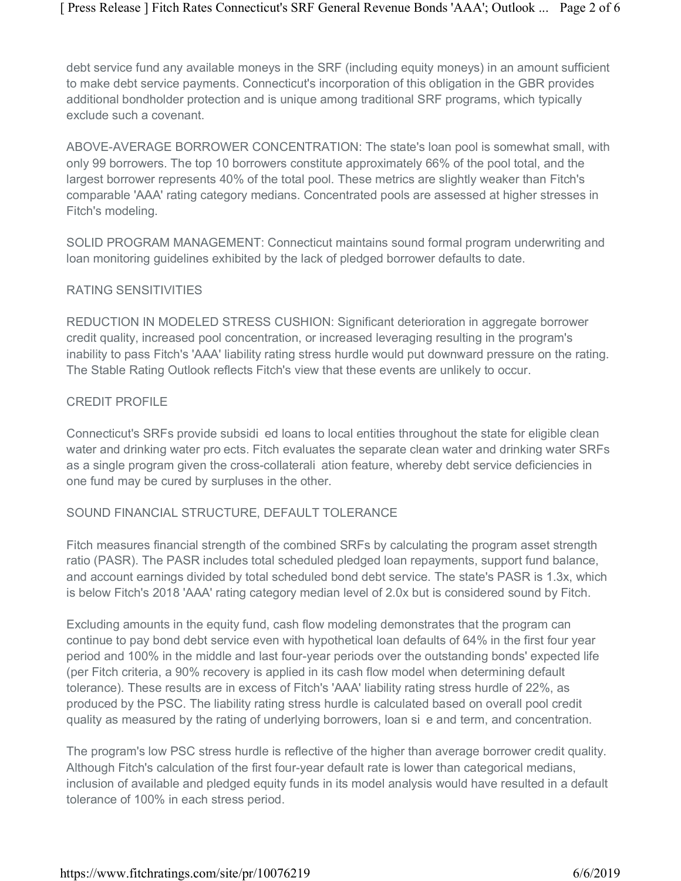debt service fund any available moneys in the SRF (including equity moneys) in an amount sufficient to make debt service payments. Connecticut's incorporation of this obligation in the GBR provides additional bondholder protection and is unique among traditional SRF programs, which typically exclude such a covenant.

ABOVE-AVERAGE BORROWER CONCENTRATION: The state's loan pool is somewhat small, with only 99 borrowers. The top 10 borrowers constitute approximately 66% of the pool total, and the largest borrower represents 40% of the total pool. These metrics are slightly weaker than Fitch's comparable 'AAA' rating category medians. Concentrated pools are assessed at higher stresses in Fitch's modeling.

SOLID PROGRAM MANAGEMENT: Connecticut maintains sound formal program underwriting and loan monitoring guidelines exhibited by the lack of pledged borrower defaults to date.

#### RATING SENSITIVITIES

REDUCTION IN MODELED STRESS CUSHION: Significant deterioration in aggregate borrower credit quality, increased pool concentration, or increased leveraging resulting in the program's inability to pass Fitch's 'AAA' liability rating stress hurdle would put downward pressure on the rating. The Stable Rating Outlook reflects Fitch's view that these events are unlikely to occur.

#### CREDIT PROFILE

Connecticut's SRFs provide subsidied loans to local entities throughout the state for eligible clean water and drinking water pro ects. Fitch evaluates the separate clean water and drinking water SRFs as a single program given the cross-collaterali ation feature, whereby debt service deficiencies in one fund may be cured by surpluses in the other.

#### SOUND FINANCIAL STRUCTURE, DEFAULT TOLERANCE

Fitch measures financial strength of the combined SRFs by calculating the program asset strength ratio (PASR). The PASR includes total scheduled pledged loan repayments, support fund balance, and account earnings divided by total scheduled bond debt service. The state's PASR is 1.3x, which is below Fitch's 2018 'AAA' rating category median level of 2.0x but is considered sound by Fitch.

Excluding amounts in the equity fund, cash flow modeling demonstrates that the program can continue to pay bond debt service even with hypothetical loan defaults of 64% in the first four year period and 100% in the middle and last four-year periods over the outstanding bonds' expected life (per Fitch criteria, a 90% recovery is applied in its cash flow model when determining default tolerance). These results are in excess of Fitch's 'AAA' liability rating stress hurdle of 22%, as produced by the PSC. The liability rating stress hurdle is calculated based on overall pool credit quality as measured by the rating of underlying borrowers, loan sie and term, and concentration.

The program's low PSC stress hurdle is reflective of the higher than average borrower credit quality. Although Fitch's calculation of the first four-year default rate is lower than categorical medians, inclusion of available and pledged equity funds in its model analysis would have resulted in a default tolerance of 100% in each stress period.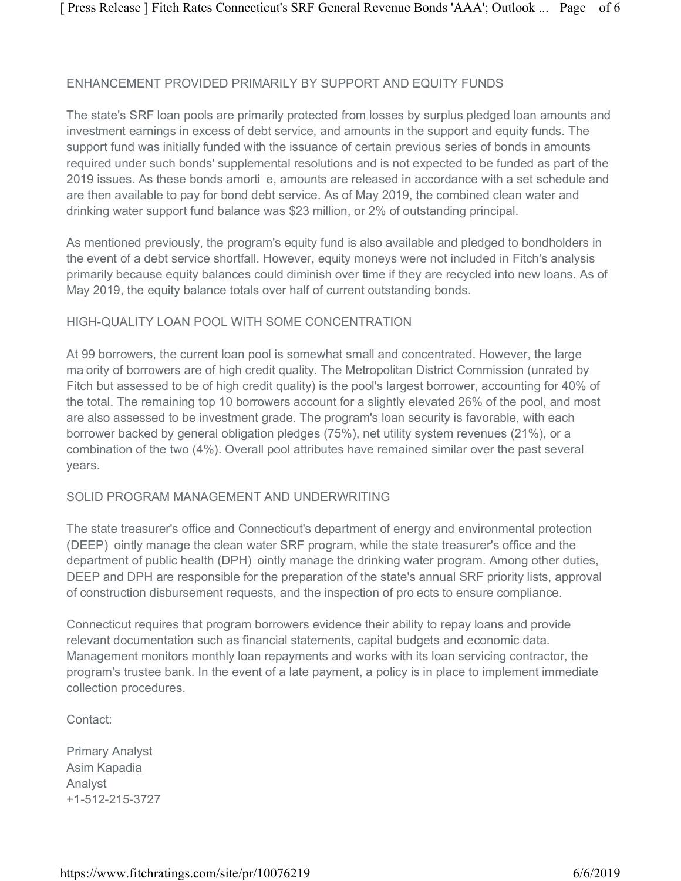#### ENHANCEMENT PROVIDED PRIMARILY BY SUPPORT AND EQUITY FUNDS

The state's SRF loan pools are primarily protected from losses by surplus pledged loan amounts and investment earnings in excess of debt service, and amounts in the support and equity funds. The support fund was initially funded with the issuance of certain previous series of bonds in amounts required under such bonds' supplemental resolutions and is not expected to be funded as part of the 2019 issues. As these bonds amortie, amounts are released in accordance with a set schedule and are then available to pay for bond debt service. As of May 2019, the combined clean water and drinking water support fund balance was \$23 million, or 2% of outstanding principal.

As mentioned previously, the program's equity fund is also available and pledged to bondholders in the event of a debt service shortfall. However, equity moneys were not included in Fitch's analysis primarily because equity balances could diminish over time if they are recycled into new loans. As of May 2019, the equity balance totals over half of current outstanding bonds.

#### HIGH-QUALITY LOAN POOL WITH SOME CONCENTRATION

At 99 borrowers, the current loan pool is somewhat small and concentrated. However, the large maority of borrowers are of high credit quality. The Metropolitan District Commission (unrated by Fitch but assessed to be of high credit quality) is the pool's largest borrower, accounting for 40% of the total. The remaining top 10 borrowers account for a slightly elevated 26% of the pool, and most are also assessed to be investment grade. The program's loan security is favorable, with each borrower backed by general obligation pledges (75%), net utility system revenues (21%), or a combination of the two (4%). Overall pool attributes have remained similar over the past several years.

#### SOLID PROGRAM MANAGEMENT AND UNDERWRITING

The state treasurer's office and Connecticut's department of energy and environmental protection (DEEP) ointly manage the clean water SRF program, while the state treasurer's office and the department of public health (DPH) ointly manage the drinking water program. Among other duties, DEEP and DPH are responsible for the preparation of the state's annual SRF priority lists, approval of construction disbursement requests, and the inspection of proects to ensure compliance.

Connecticut requires that program borrowers evidence their ability to repay loans and provide relevant documentation such as financial statements, capital budgets and economic data. Management monitors monthly loan repayments and works with its loan servicing contractor, the program's trustee bank. In the event of a late payment, a policy is in place to implement immediate collection procedures.

Contact:

Primary Analyst Asim Kapadia Analyst +1-512-215-3727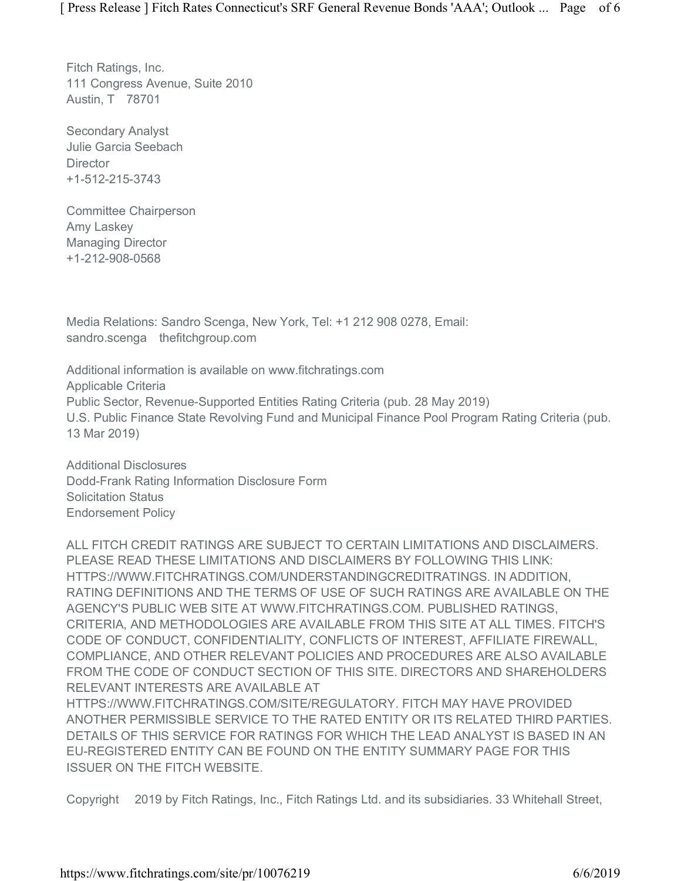Fitch Ratings, Inc. 111 Congress Avenue, Suite 2010 Austin, T 78701

Secondary Analyst Julie Garcia Seebach **Director** +1-512-215-3743

Committee Chairperson Amy Laskey Managing Director +1-212-908-0568

Media Relations: Sandro Scenga, New York, Tel: +1 212 908 0278, Email: sandro.scenga thefitchgroup.com

Additional information is available on www.fitchratings.com Applicable Criteria Public Sector, Revenue-Supported Entities Rating Criteria (pub. 28 May 2019) U.S. Public Finance State Revolving Fund and Municipal Finance Pool Program Rating Criteria (pub. 13 Mar 2019)

Additional Disclosures Dodd-Frank Rating Information Disclosure Form Solicitation Status Endorsement Policy

ALL FITCH CREDIT RATINGS ARE SUBJECT TO CERTAIN LIMITATIONS AND DISCLAIMERS. PLEASE READ THESE LIMITATIONS AND DISCLAIMERS BY FOLLOWING THIS LINK: HTTPS://WWW.FITCHRATINGS.COM/UNDERSTANDINGCREDITRATINGS. IN ADDITION, RATING DEFINITIONS AND THE TERMS OF USE OF SUCH RATINGS ARE AVAILABLE ON THE AGENCY'S PUBLIC WEB SITE AT WWW.FITCHRATINGS.COM. PUBLISHED RATINGS, CRITERIA, AND METHODOLOGIES ARE AVAILABLE FROM THIS SITE AT ALL TIMES. FITCH'S CODE OF CONDUCT, CONFIDENTIALITY, CONFLICTS OF INTEREST, AFFILIATE FIREWALL, COMPLIANCE, AND OTHER RELEVANT POLICIES AND PROCEDURES ARE ALSO AVAILABLE FROM THE CODE OF CONDUCT SECTION OF THIS SITE. DIRECTORS AND SHAREHOLDERS RELEVANT INTERESTS ARE AVAILABLE AT

HTTPS://WWW.FITCHRATINGS.COM/SITE/REGULATORY. FITCH MAY HAVE PROVIDED ANOTHER PERMISSIBLE SERVICE TO THE RATED ENTITY OR ITS RELATED THIRD PARTIES. DETAILS OF THIS SERVICE FOR RATINGS FOR WHICH THE LEAD ANALYST IS BASED IN AN EU-REGISTERED ENTITY CAN BE FOUND ON THE ENTITY SUMMARY PAGE FOR THIS ISSUER ON THE FITCH WEBSITE.

Copyright 2019 by Fitch Ratings, Inc., Fitch Ratings Ltd. and its subsidiaries. 33 Whitehall Street,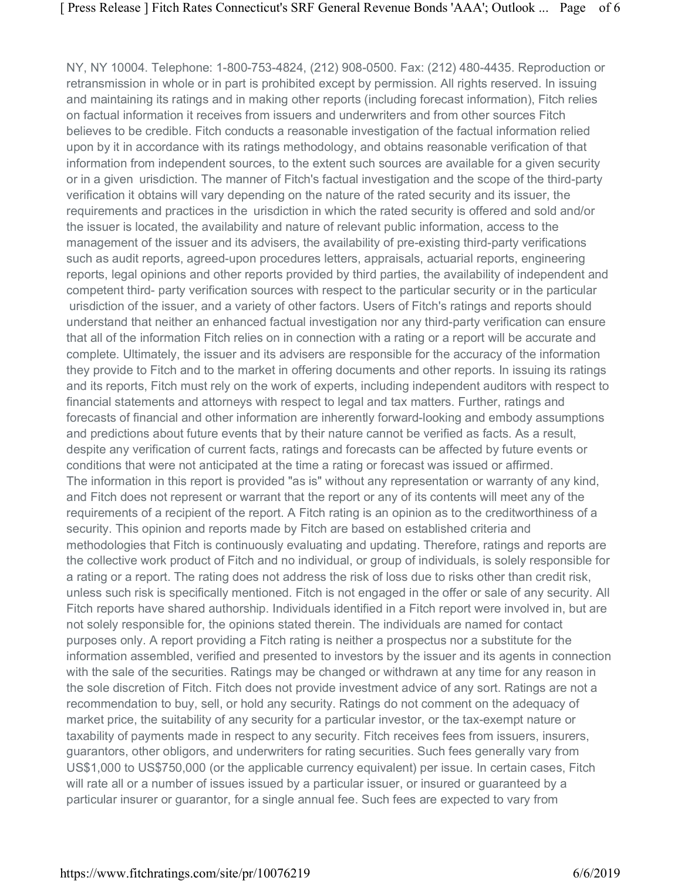NY, NY 10004. Telephone: 1-800-753-4824, (212) 908-0500. Fax: (212) 480-4435. Reproduction or retransmission in whole or in part is prohibited except by permission. All rights reserved. In issuing and maintaining its ratings and in making other reports (including forecast information), Fitch relies on factual information it receives from issuers and underwriters and from other sources Fitch believes to be credible. Fitch conducts a reasonable investigation of the factual information relied upon by it in accordance with its ratings methodology, and obtains reasonable verification of that information from independent sources, to the extent such sources are available for a given security or in a given urisdiction. The manner of Fitch's factual investigation and the scope of the third-party verification it obtains will vary depending on the nature of the rated security and its issuer, the requirements and practices in the urisdiction in which the rated security is offered and sold and/or the issuer is located, the availability and nature of relevant public information, access to the management of the issuer and its advisers, the availability of pre-existing third-party verifications such as audit reports, agreed-upon procedures letters, appraisals, actuarial reports, engineering reports, legal opinions and other reports provided by third parties, the availability of independent and competent third- party verification sources with respect to the particular security or in the particular urisdiction of the issuer, and a variety of other factors. Users of Fitch's ratings and reports should understand that neither an enhanced factual investigation nor any third-party verification can ensure that all of the information Fitch relies on in connection with a rating or a report will be accurate and complete. Ultimately, the issuer and its advisers are responsible for the accuracy of the information they provide to Fitch and to the market in offering documents and other reports. In issuing its ratings and its reports, Fitch must rely on the work of experts, including independent auditors with respect to financial statements and attorneys with respect to legal and tax matters. Further, ratings and forecasts of financial and other information are inherently forward-looking and embody assumptions and predictions about future events that by their nature cannot be verified as facts. As a result, despite any verification of current facts, ratings and forecasts can be affected by future events or conditions that were not anticipated at the time a rating or forecast was issued or affirmed. The information in this report is provided "as is" without any representation or warranty of any kind, and Fitch does not represent or warrant that the report or any of its contents will meet any of the requirements of a recipient of the report. A Fitch rating is an opinion as to the creditworthiness of a security. This opinion and reports made by Fitch are based on established criteria and methodologies that Fitch is continuously evaluating and updating. Therefore, ratings and reports are the collective work product of Fitch and no individual, or group of individuals, is solely responsible for a rating or a report. The rating does not address the risk of loss due to risks other than credit risk, unless such risk is specifically mentioned. Fitch is not engaged in the offer or sale of any security. All Fitch reports have shared authorship. Individuals identified in a Fitch report were involved in, but are not solely responsible for, the opinions stated therein. The individuals are named for contact purposes only. A report providing a Fitch rating is neither a prospectus nor a substitute for the information assembled, verified and presented to investors by the issuer and its agents in connection with the sale of the securities. Ratings may be changed or withdrawn at any time for any reason in the sole discretion of Fitch. Fitch does not provide investment advice of any sort. Ratings are not a recommendation to buy, sell, or hold any security. Ratings do not comment on the adequacy of market price, the suitability of any security for a particular investor, or the tax-exempt nature or taxability of payments made in respect to any security. Fitch receives fees from issuers, insurers, guarantors, other obligors, and underwriters for rating securities. Such fees generally vary from US\$1,000 to US\$750,000 (or the applicable currency equivalent) per issue. In certain cases, Fitch will rate all or a number of issues issued by a particular issuer, or insured or guaranteed by a particular insurer or guarantor, for a single annual fee. Such fees are expected to vary from